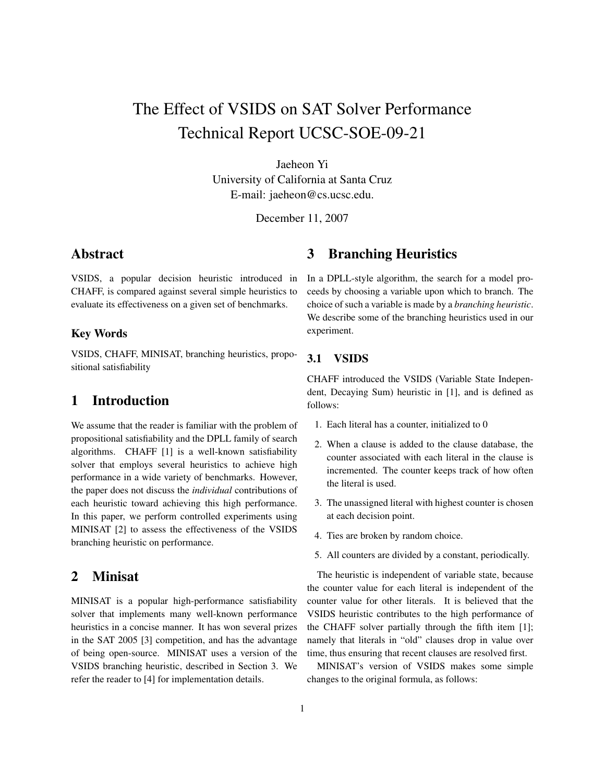# The Effect of VSIDS on SAT Solver Performance Technical Report UCSC-SOE-09-21

Jaeheon Yi University of California at Santa Cruz E-mail: jaeheon@cs.ucsc.edu.

December 11, 2007

## Abstract

VSIDS, a popular decision heuristic introduced in CHAFF, is compared against several simple heuristics to evaluate its effectiveness on a given set of benchmarks.

#### Key Words

VSIDS, CHAFF, MINISAT, branching heuristics, propositional satisfiability

## 1 Introduction

We assume that the reader is familiar with the problem of propositional satisfiability and the DPLL family of search algorithms. CHAFF [1] is a well-known satisfiability solver that employs several heuristics to achieve high performance in a wide variety of benchmarks. However, the paper does not discuss the *individual* contributions of each heuristic toward achieving this high performance. In this paper, we perform controlled experiments using MINISAT [2] to assess the effectiveness of the VSIDS branching heuristic on performance.

## 2 Minisat

MINISAT is a popular high-performance satisfiability solver that implements many well-known performance heuristics in a concise manner. It has won several prizes in the SAT 2005 [3] competition, and has the advantage of being open-source. MINISAT uses a version of the VSIDS branching heuristic, described in Section 3. We refer the reader to [4] for implementation details.

## 3 Branching Heuristics

In a DPLL-style algorithm, the search for a model proceeds by choosing a variable upon which to branch. The choice of such a variable is made by a *branching heuristic*. We describe some of the branching heuristics used in our experiment.

#### 3.1 VSIDS

CHAFF introduced the VSIDS (Variable State Independent, Decaying Sum) heuristic in [1], and is defined as follows:

- 1. Each literal has a counter, initialized to 0
- 2. When a clause is added to the clause database, the counter associated with each literal in the clause is incremented. The counter keeps track of how often the literal is used.
- 3. The unassigned literal with highest counter is chosen at each decision point.
- 4. Ties are broken by random choice.
- 5. All counters are divided by a constant, periodically.

The heuristic is independent of variable state, because the counter value for each literal is independent of the counter value for other literals. It is believed that the VSIDS heuristic contributes to the high performance of the CHAFF solver partially through the fifth item [1]; namely that literals in "old" clauses drop in value over time, thus ensuring that recent clauses are resolved first.

MINISAT's version of VSIDS makes some simple changes to the original formula, as follows: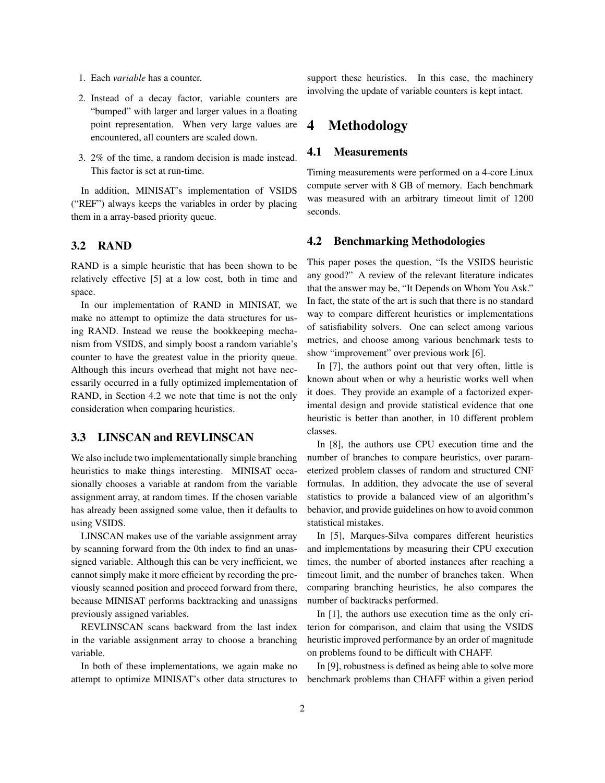- 1. Each *variable* has a counter.
- 2. Instead of a decay factor, variable counters are "bumped" with larger and larger values in a floating point representation. When very large values are encountered, all counters are scaled down.
- 3. 2% of the time, a random decision is made instead. This factor is set at run-time.

In addition, MINISAT's implementation of VSIDS ("REF") always keeps the variables in order by placing them in a array-based priority queue.

#### 3.2 RAND

RAND is a simple heuristic that has been shown to be relatively effective [5] at a low cost, both in time and space.

In our implementation of RAND in MINISAT, we make no attempt to optimize the data structures for using RAND. Instead we reuse the bookkeeping mechanism from VSIDS, and simply boost a random variable's counter to have the greatest value in the priority queue. Although this incurs overhead that might not have necessarily occurred in a fully optimized implementation of RAND, in Section 4.2 we note that time is not the only consideration when comparing heuristics.

#### 3.3 LINSCAN and REVLINSCAN

We also include two implementationally simple branching heuristics to make things interesting. MINISAT occasionally chooses a variable at random from the variable assignment array, at random times. If the chosen variable has already been assigned some value, then it defaults to using VSIDS.

LINSCAN makes use of the variable assignment array by scanning forward from the 0th index to find an unassigned variable. Although this can be very inefficient, we cannot simply make it more efficient by recording the previously scanned position and proceed forward from there, because MINISAT performs backtracking and unassigns previously assigned variables.

REVLINSCAN scans backward from the last index in the variable assignment array to choose a branching variable.

In both of these implementations, we again make no attempt to optimize MINISAT's other data structures to support these heuristics. In this case, the machinery involving the update of variable counters is kept intact.

### 4 Methodology

#### 4.1 Measurements

Timing measurements were performed on a 4-core Linux compute server with 8 GB of memory. Each benchmark was measured with an arbitrary timeout limit of 1200 seconds.

#### 4.2 Benchmarking Methodologies

This paper poses the question, "Is the VSIDS heuristic any good?" A review of the relevant literature indicates that the answer may be, "It Depends on Whom You Ask." In fact, the state of the art is such that there is no standard way to compare different heuristics or implementations of satisfiability solvers. One can select among various metrics, and choose among various benchmark tests to show "improvement" over previous work [6].

In [7], the authors point out that very often, little is known about when or why a heuristic works well when it does. They provide an example of a factorized experimental design and provide statistical evidence that one heuristic is better than another, in 10 different problem classes.

In [8], the authors use CPU execution time and the number of branches to compare heuristics, over parameterized problem classes of random and structured CNF formulas. In addition, they advocate the use of several statistics to provide a balanced view of an algorithm's behavior, and provide guidelines on how to avoid common statistical mistakes.

In [5], Marques-Silva compares different heuristics and implementations by measuring their CPU execution times, the number of aborted instances after reaching a timeout limit, and the number of branches taken. When comparing branching heuristics, he also compares the number of backtracks performed.

In [1], the authors use execution time as the only criterion for comparison, and claim that using the VSIDS heuristic improved performance by an order of magnitude on problems found to be difficult with CHAFF.

In [9], robustness is defined as being able to solve more benchmark problems than CHAFF within a given period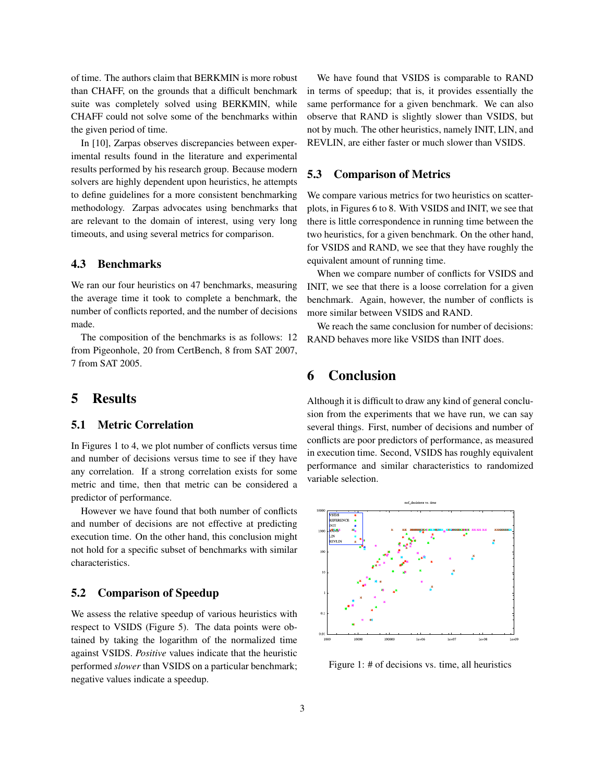of time. The authors claim that BERKMIN is more robust than CHAFF, on the grounds that a difficult benchmark suite was completely solved using BERKMIN, while CHAFF could not solve some of the benchmarks within the given period of time.

In [10], Zarpas observes discrepancies between experimental results found in the literature and experimental results performed by his research group. Because modern solvers are highly dependent upon heuristics, he attempts to define guidelines for a more consistent benchmarking methodology. Zarpas advocates using benchmarks that are relevant to the domain of interest, using very long timeouts, and using several metrics for comparison.

#### 4.3 Benchmarks

We ran our four heuristics on 47 benchmarks, measuring the average time it took to complete a benchmark, the number of conflicts reported, and the number of decisions made.

The composition of the benchmarks is as follows: 12 from Pigeonhole, 20 from CertBench, 8 from SAT 2007, 7 from SAT 2005.

## 5 Results

#### 5.1 Metric Correlation

In Figures 1 to 4, we plot number of conflicts versus time and number of decisions versus time to see if they have any correlation. If a strong correlation exists for some metric and time, then that metric can be considered a predictor of performance.

However we have found that both number of conflicts and number of decisions are not effective at predicting execution time. On the other hand, this conclusion might not hold for a specific subset of benchmarks with similar characteristics.

#### 5.2 Comparison of Speedup

We assess the relative speedup of various heuristics with respect to VSIDS (Figure 5). The data points were obtained by taking the logarithm of the normalized time against VSIDS. *Positive* values indicate that the heuristic performed *slower* than VSIDS on a particular benchmark; negative values indicate a speedup.

We have found that VSIDS is comparable to RAND in terms of speedup; that is, it provides essentially the same performance for a given benchmark. We can also observe that RAND is slightly slower than VSIDS, but not by much. The other heuristics, namely INIT, LIN, and REVLIN, are either faster or much slower than VSIDS.

#### 5.3 Comparison of Metrics

We compare various metrics for two heuristics on scatterplots, in Figures 6 to 8. With VSIDS and INIT, we see that there is little correspondence in running time between the two heuristics, for a given benchmark. On the other hand, for VSIDS and RAND, we see that they have roughly the equivalent amount of running time.

When we compare number of conflicts for VSIDS and INIT, we see that there is a loose correlation for a given benchmark. Again, however, the number of conflicts is more similar between VSIDS and RAND.

We reach the same conclusion for number of decisions: RAND behaves more like VSIDS than INIT does.

### 6 Conclusion

Although it is difficult to draw any kind of general conclusion from the experiments that we have run, we can say several things. First, number of decisions and number of conflicts are poor predictors of performance, as measured in execution time. Second, VSIDS has roughly equivalent performance and similar characteristics to randomized variable selection.



Figure 1: # of decisions vs. time, all heuristics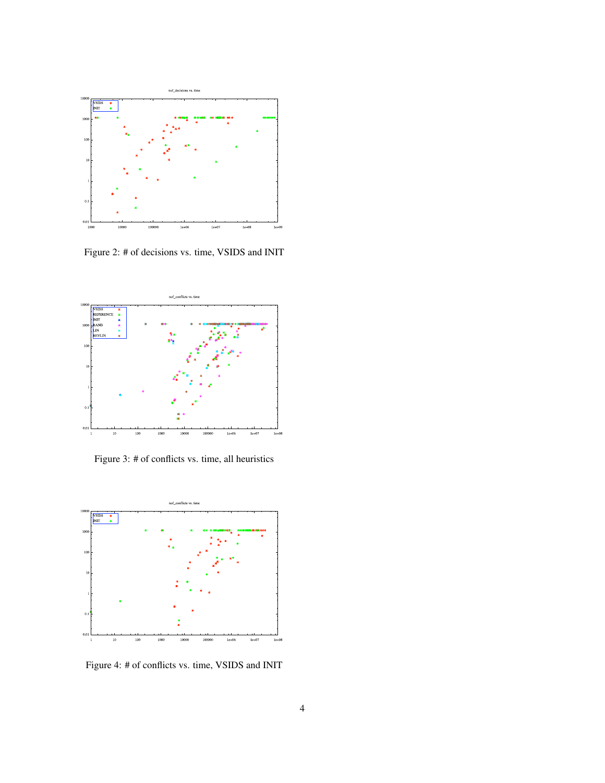

Figure 2: # of decisions vs. time, VSIDS and INIT



Figure 3: # of conflicts vs. time, all heuristics



Figure 4: # of conflicts vs. time, VSIDS and INIT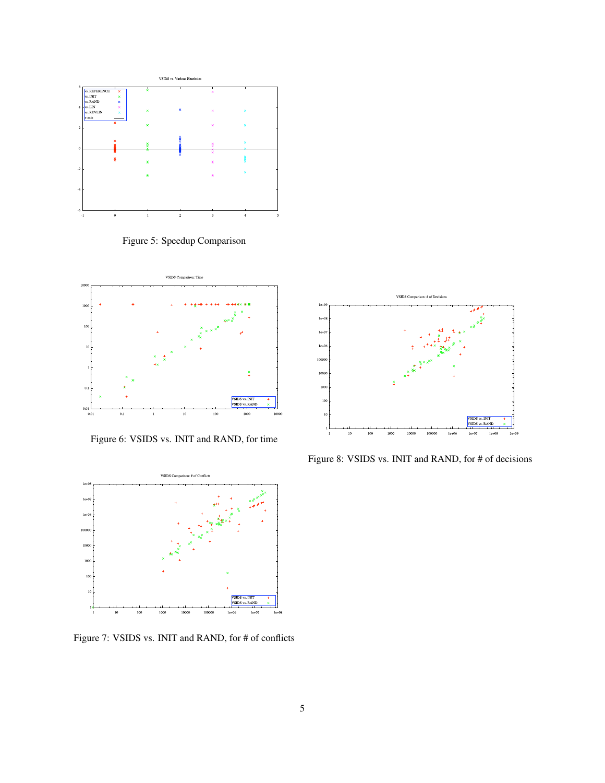

Figure 5: Speedup Comparison



Figure 6: VSIDS vs. INIT and RAND, for time



Figure 8: VSIDS vs. INIT and RAND, for # of decisions



Figure 7: VSIDS vs. INIT and RAND, for # of conflicts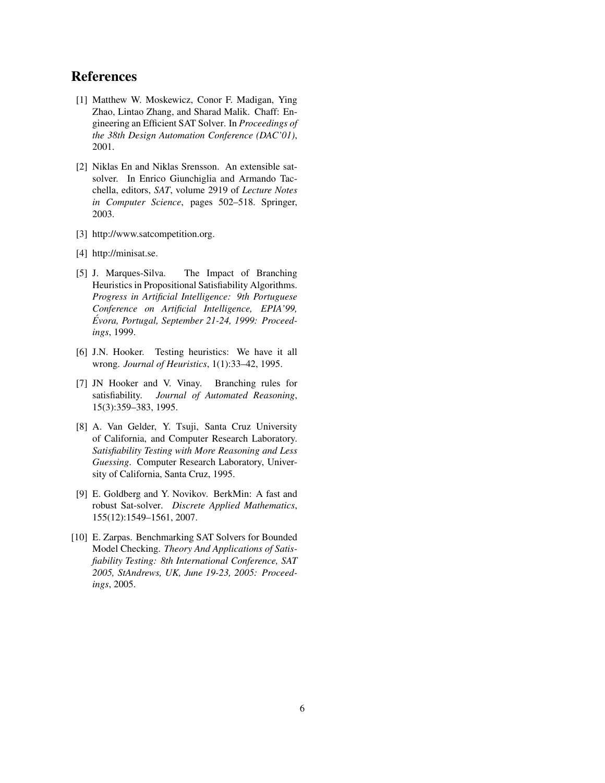## References

- [1] Matthew W. Moskewicz, Conor F. Madigan, Ying Zhao, Lintao Zhang, and Sharad Malik. Chaff: Engineering an Efficient SAT Solver. In *Proceedings of the 38th Design Automation Conference (DAC'01)*, 2001.
- [2] Niklas En and Niklas Srensson. An extensible satsolver. In Enrico Giunchiglia and Armando Tacchella, editors, *SAT*, volume 2919 of *Lecture Notes in Computer Science*, pages 502–518. Springer, 2003.
- [3] http://www.satcompetition.org.
- [4] http://minisat.se.
- [5] J. Marques-Silva. The Impact of Branching Heuristics in Propositional Satisfiability Algorithms. *Progress in Artificial Intelligence: 9th Portuguese Conference on Artificial Intelligence, EPIA'99, Evora, Portugal, September 21-24, 1999: Proceed- ´ ings*, 1999.
- [6] J.N. Hooker. Testing heuristics: We have it all wrong. *Journal of Heuristics*, 1(1):33–42, 1995.
- [7] JN Hooker and V. Vinay. Branching rules for satisfiability. *Journal of Automated Reasoning*, 15(3):359–383, 1995.
- [8] A. Van Gelder, Y. Tsuji, Santa Cruz University of California, and Computer Research Laboratory. *Satisfiability Testing with More Reasoning and Less Guessing*. Computer Research Laboratory, University of California, Santa Cruz, 1995.
- [9] E. Goldberg and Y. Novikov. BerkMin: A fast and robust Sat-solver. *Discrete Applied Mathematics*, 155(12):1549–1561, 2007.
- [10] E. Zarpas. Benchmarking SAT Solvers for Bounded Model Checking. *Theory And Applications of Satisfiability Testing: 8th International Conference, SAT 2005, StAndrews, UK, June 19-23, 2005: Proceedings*, 2005.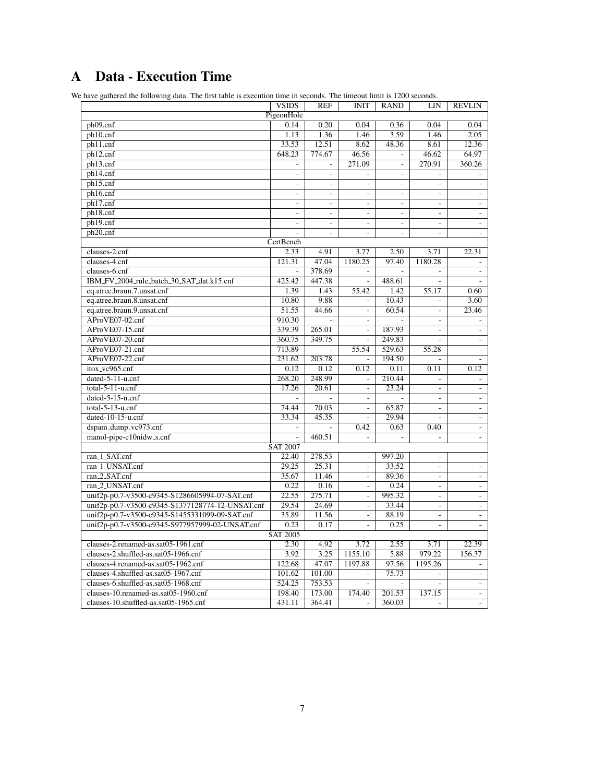## A Data - Execution Time

We have gathered the following data. The first table is execution time in seconds. The timeout limit is 1200 seconds.

| PigeonHole<br>0.04<br>ph09.cnf<br>0.14<br>0.20<br>0.04<br>0.36<br>0.04<br>1.36<br>3.59<br>ph10.cnf<br>1.13<br>1.46<br>1.46<br>2.05<br>ph11.cnf<br>33.53<br>12.51<br>8.62<br>48.36<br>12.36<br>8.61<br>648.23<br>774.67<br>46.56<br>46.62<br>64.97<br>ph12.cnf<br>$\blacksquare$<br>271.09<br>270.91<br>360.26<br>ph13.cnf<br>$\overline{\phantom{a}}$<br>ph14.cnf<br>$\frac{1}{2}$<br>$\overline{a}$<br>$\overline{a}$<br>ph15.cnf<br>$\overline{\phantom{a}}$<br>$\frac{1}{2}$<br>÷,<br>$\overline{\phantom{a}}$<br>$\overline{\phantom{a}}$<br>÷,<br>ph16.cnf<br>$\overline{a}$<br>L.<br>L.<br>$\overline{a}$<br>$\overline{a}$<br>L.<br>ph17.cnf<br>$\overline{\phantom{a}}$<br>$\blacksquare$<br>$\blacksquare$<br>$\blacksquare$<br>$\overline{\phantom{a}}$<br>$\blacksquare$<br>ph18.cnf<br>$\frac{1}{2}$<br>÷,<br>÷,<br>$\overline{a}$<br>$\overline{\phantom{a}}$<br>$\overline{\phantom{a}}$<br>ph19.cnf<br>$\overline{\phantom{a}}$<br>$\overline{\phantom{a}}$<br>$\overline{\phantom{a}}$<br>$\overline{\phantom{a}}$<br>$\blacksquare$<br>$\overline{\phantom{a}}$<br>ph20.cnf<br>$\overline{a}$<br>÷,<br>$\overline{a}$<br>÷,<br>CertBench<br>22.31<br>clauses-2.cnf<br>2.33<br>4.91<br>3.77<br>2.50<br>3.71<br>121.31<br>47.04<br>1180.25<br>97.40<br>1180.28<br>clauses-4.cnf<br>378.69<br>clauses-6.cnf<br>$\frac{1}{2}$<br>$\overline{a}$<br>$\overline{\phantom{a}}$<br>÷,<br>÷,<br>447.38<br>IBM_FV_2004_rule_batch_30_SAT_dat.k15.cnf<br>425.42<br>488.61<br>÷,<br>$\frac{1}{2}$<br>eq.atree.braun.7.unsat.cnf<br>$\overline{1.43}$<br>55.42<br>1.42<br>55.17<br>1.39<br>0.60<br>9.88<br>eq.atree.braun.8.unsat.cnf<br>10.80<br>10.43<br>3.60<br>$\frac{1}{2}$<br>eq.atree.braun.9.unsat.cnf<br>51.55<br>44.66<br>60.54<br>23.46<br>$\overline{\phantom{a}}$<br>$\overline{\phantom{a}}$<br>AProVE07-02.cnf<br>910.30<br>$\overline{a}$<br>$\overline{\phantom{a}}$<br>L.<br>L.<br>AProVE07-15.cnf<br>339.39<br>265.01<br>187.93<br>$\overline{\phantom{a}}$<br>$\overline{\phantom{a}}$<br>$\frac{1}{2}$<br>AProVE07-20.cnf<br>349.75<br>360.75<br>249.83<br>$\overline{a}$<br>$\overline{\phantom{a}}$<br>$\overline{\phantom{a}}$<br>AProVE07-21.cnf<br>713.89<br>529.63<br>55.28<br>55.54<br>$\blacksquare$<br>AProVE07-22.cnf<br>203.78<br>194.50<br>231.62<br>÷,<br>$\sim$<br>L.<br>itox_vc965.cnf<br>0.12<br>0.12<br>0.11<br>0.11<br>0.12<br>0.12<br>248.99<br>268.20<br>210.44<br>dated-5-11-u.cnf<br>$\overline{\phantom{a}}$<br>$\overline{a}$<br>$\frac{1}{2}$<br>$\text{total-5-11-u.cnf}$<br>17.26<br>20.61<br>23.24<br>$\overline{\phantom{a}}$<br>$\overline{\phantom{a}}$<br>$\frac{1}{2}$<br>dated-5-15-u.cnf<br>$\overline{a}$<br>L,<br>$\overline{\phantom{a}}$<br>L.<br>$\overline{\phantom{a}}$<br>$\overline{\phantom{a}}$<br>$total-5-13-u.cnf$<br>74.44<br>70.03<br>65.87<br>$\Box$<br>$\Box$<br>$\blacksquare$<br>dated-10-15-u.cnf<br>33.34<br>45.35<br>29.94<br>÷,<br>dspam_dump_vc973.cnf<br>0.42<br>0.40<br>0.63<br>$\blacksquare$<br>$\overline{\phantom{a}}$<br>manol-pipe-c10nidw_s.cnf<br>460.51<br>$\frac{1}{2}$<br>$\overline{a}$<br><b>SAT 2007</b><br>ran_1_SAT.cnf<br>278.53<br>997.20<br>22.40<br>$\overline{a}$<br>$\overline{\phantom{a}}$<br>$\overline{a}$<br>25.31<br>33.52<br>ran_1_UNSAT.cnf<br>29.25<br>$\blacksquare$<br>$\blacksquare$<br>$\blacksquare$<br>ran_2_SAT.cnf<br>35.67<br>11.46<br>89.36<br>$\overline{\phantom{a}}$<br>$\bar{\phantom{a}}$<br>$\overline{a}$<br>ran <sub>-2</sub> -UNSAT.cnf<br>0.22<br>0.16<br>0.24<br>$\overline{\phantom{a}}$<br>÷.<br>$\overline{\phantom{a}}$<br>275.71<br>unif2p-p0.7-v3500-c9345-S1286605994-07-SAT.cnf<br>22.55<br>995.32<br>$\Box$<br>$\blacksquare$<br>$\blacksquare$<br>unif2p-p0.7-v3500-c9345-S1377128774-12-UNSAT.cnf<br>29.54<br>24.69<br>33.44<br>$\overline{a}$<br>$\overline{a}$<br>$\frac{1}{2}$<br>unif2p-p0.7-v3500-c9345-S1455331099-09-SAT.cnf<br>35.89<br>11.56<br>88.19<br>$\overline{\phantom{a}}$<br>$\bar{\phantom{a}}$<br>÷,<br>unif2p-p0.7-v3500-c9345-S977957999-02-UNSAT.cnf<br>0.17<br>0.25<br>0.23<br>$\overline{\phantom{a}}$<br>$\blacksquare$<br>L.<br><b>SAT 2005</b><br>clauses-2.renamed-as.sat05-1961.cnf<br>2.30<br>4.92<br>3.72<br>3.71<br>22.39<br>2.55<br>979.22<br>clauses-2.shuffled-as.sat05-1966.cnf<br>3.92<br>3.25<br>1155.10<br>5.88<br>156.37<br>47.07<br>1197.88<br>97.56<br>1195.26<br>clauses-4.renamed-as.sat05-1962.cnf<br>122.68<br>$\qquad \qquad \blacksquare$<br>clauses-4.shuffled-as.sat05-1967.cnf<br>101.62<br>101.00<br>75.73<br>L.<br>L.<br>÷.<br>clauses-6.shuffled-as.sat05-1968.cnf<br>524.25<br>753.53<br>$\overline{\phantom{a}}$<br>$\overline{a}$<br>L.<br>$\overline{\phantom{a}}$<br>198.40<br>173.00<br>174.40<br>201.53<br>137.15<br>clauses-10.renamed-as.sat05-1960.cnf<br>÷,<br>360.03<br>clauses-10.shuffled-as.sat05-1965.cnf<br>431.11<br>364.41<br>$\overline{\phantom{a}}$<br>$\overline{\phantom{a}}$ | e have gamered the following data. The first table is execution thre in seconds. The unlebut film is 1200 seconds. | <b>VSIDS</b> | <b>REF</b> | <b>INIT</b> | <b>RAND</b> | LIN | <b>REVLIN</b> |  |
|-------------------------------------------------------------------------------------------------------------------------------------------------------------------------------------------------------------------------------------------------------------------------------------------------------------------------------------------------------------------------------------------------------------------------------------------------------------------------------------------------------------------------------------------------------------------------------------------------------------------------------------------------------------------------------------------------------------------------------------------------------------------------------------------------------------------------------------------------------------------------------------------------------------------------------------------------------------------------------------------------------------------------------------------------------------------------------------------------------------------------------------------------------------------------------------------------------------------------------------------------------------------------------------------------------------------------------------------------------------------------------------------------------------------------------------------------------------------------------------------------------------------------------------------------------------------------------------------------------------------------------------------------------------------------------------------------------------------------------------------------------------------------------------------------------------------------------------------------------------------------------------------------------------------------------------------------------------------------------------------------------------------------------------------------------------------------------------------------------------------------------------------------------------------------------------------------------------------------------------------------------------------------------------------------------------------------------------------------------------------------------------------------------------------------------------------------------------------------------------------------------------------------------------------------------------------------------------------------------------------------------------------------------------------------------------------------------------------------------------------------------------------------------------------------------------------------------------------------------------------------------------------------------------------------------------------------------------------------------------------------------------------------------------------------------------------------------------------------------------------------------------------------------------------------------------------------------------------------------------------------------------------------------------------------------------------------------------------------------------------------------------------------------------------------------------------------------------------------------------------------------------------------------------------------------------------------------------------------------------------------------------------------------------------------------------------------------------------------------------------------------------------------------------------------------------------------------------------------------------------------------------------------------------------------------------------------------------------------------------------------------------------------------------------------------------------------------------------------------------------------------------------------------------------------------------------------------------------------------------------------------------------------------------------------------------------------------------------------------------------------------------------------------------------------------------------------------------------------------------------------------------------------------------------------------------------------------------------------------------------------------------------------------------------------------------------------------------------------------------------------------------------------------------------------------------------------------------------------------------------------------------------------------------------|--------------------------------------------------------------------------------------------------------------------|--------------|------------|-------------|-------------|-----|---------------|--|
|                                                                                                                                                                                                                                                                                                                                                                                                                                                                                                                                                                                                                                                                                                                                                                                                                                                                                                                                                                                                                                                                                                                                                                                                                                                                                                                                                                                                                                                                                                                                                                                                                                                                                                                                                                                                                                                                                                                                                                                                                                                                                                                                                                                                                                                                                                                                                                                                                                                                                                                                                                                                                                                                                                                                                                                                                                                                                                                                                                                                                                                                                                                                                                                                                                                                                                                                                                                                                                                                                                                                                                                                                                                                                                                                                                                                                                                                                                                                                                                                                                                                                                                                                                                                                                                                                                                                                                                                                                                                                                                                                                                                                                                                                                                                                                                                                                                                                                                   |                                                                                                                    |              |            |             |             |     |               |  |
|                                                                                                                                                                                                                                                                                                                                                                                                                                                                                                                                                                                                                                                                                                                                                                                                                                                                                                                                                                                                                                                                                                                                                                                                                                                                                                                                                                                                                                                                                                                                                                                                                                                                                                                                                                                                                                                                                                                                                                                                                                                                                                                                                                                                                                                                                                                                                                                                                                                                                                                                                                                                                                                                                                                                                                                                                                                                                                                                                                                                                                                                                                                                                                                                                                                                                                                                                                                                                                                                                                                                                                                                                                                                                                                                                                                                                                                                                                                                                                                                                                                                                                                                                                                                                                                                                                                                                                                                                                                                                                                                                                                                                                                                                                                                                                                                                                                                                                                   |                                                                                                                    |              |            |             |             |     |               |  |
|                                                                                                                                                                                                                                                                                                                                                                                                                                                                                                                                                                                                                                                                                                                                                                                                                                                                                                                                                                                                                                                                                                                                                                                                                                                                                                                                                                                                                                                                                                                                                                                                                                                                                                                                                                                                                                                                                                                                                                                                                                                                                                                                                                                                                                                                                                                                                                                                                                                                                                                                                                                                                                                                                                                                                                                                                                                                                                                                                                                                                                                                                                                                                                                                                                                                                                                                                                                                                                                                                                                                                                                                                                                                                                                                                                                                                                                                                                                                                                                                                                                                                                                                                                                                                                                                                                                                                                                                                                                                                                                                                                                                                                                                                                                                                                                                                                                                                                                   |                                                                                                                    |              |            |             |             |     |               |  |
|                                                                                                                                                                                                                                                                                                                                                                                                                                                                                                                                                                                                                                                                                                                                                                                                                                                                                                                                                                                                                                                                                                                                                                                                                                                                                                                                                                                                                                                                                                                                                                                                                                                                                                                                                                                                                                                                                                                                                                                                                                                                                                                                                                                                                                                                                                                                                                                                                                                                                                                                                                                                                                                                                                                                                                                                                                                                                                                                                                                                                                                                                                                                                                                                                                                                                                                                                                                                                                                                                                                                                                                                                                                                                                                                                                                                                                                                                                                                                                                                                                                                                                                                                                                                                                                                                                                                                                                                                                                                                                                                                                                                                                                                                                                                                                                                                                                                                                                   |                                                                                                                    |              |            |             |             |     |               |  |
|                                                                                                                                                                                                                                                                                                                                                                                                                                                                                                                                                                                                                                                                                                                                                                                                                                                                                                                                                                                                                                                                                                                                                                                                                                                                                                                                                                                                                                                                                                                                                                                                                                                                                                                                                                                                                                                                                                                                                                                                                                                                                                                                                                                                                                                                                                                                                                                                                                                                                                                                                                                                                                                                                                                                                                                                                                                                                                                                                                                                                                                                                                                                                                                                                                                                                                                                                                                                                                                                                                                                                                                                                                                                                                                                                                                                                                                                                                                                                                                                                                                                                                                                                                                                                                                                                                                                                                                                                                                                                                                                                                                                                                                                                                                                                                                                                                                                                                                   |                                                                                                                    |              |            |             |             |     |               |  |
|                                                                                                                                                                                                                                                                                                                                                                                                                                                                                                                                                                                                                                                                                                                                                                                                                                                                                                                                                                                                                                                                                                                                                                                                                                                                                                                                                                                                                                                                                                                                                                                                                                                                                                                                                                                                                                                                                                                                                                                                                                                                                                                                                                                                                                                                                                                                                                                                                                                                                                                                                                                                                                                                                                                                                                                                                                                                                                                                                                                                                                                                                                                                                                                                                                                                                                                                                                                                                                                                                                                                                                                                                                                                                                                                                                                                                                                                                                                                                                                                                                                                                                                                                                                                                                                                                                                                                                                                                                                                                                                                                                                                                                                                                                                                                                                                                                                                                                                   |                                                                                                                    |              |            |             |             |     |               |  |
|                                                                                                                                                                                                                                                                                                                                                                                                                                                                                                                                                                                                                                                                                                                                                                                                                                                                                                                                                                                                                                                                                                                                                                                                                                                                                                                                                                                                                                                                                                                                                                                                                                                                                                                                                                                                                                                                                                                                                                                                                                                                                                                                                                                                                                                                                                                                                                                                                                                                                                                                                                                                                                                                                                                                                                                                                                                                                                                                                                                                                                                                                                                                                                                                                                                                                                                                                                                                                                                                                                                                                                                                                                                                                                                                                                                                                                                                                                                                                                                                                                                                                                                                                                                                                                                                                                                                                                                                                                                                                                                                                                                                                                                                                                                                                                                                                                                                                                                   |                                                                                                                    |              |            |             |             |     |               |  |
|                                                                                                                                                                                                                                                                                                                                                                                                                                                                                                                                                                                                                                                                                                                                                                                                                                                                                                                                                                                                                                                                                                                                                                                                                                                                                                                                                                                                                                                                                                                                                                                                                                                                                                                                                                                                                                                                                                                                                                                                                                                                                                                                                                                                                                                                                                                                                                                                                                                                                                                                                                                                                                                                                                                                                                                                                                                                                                                                                                                                                                                                                                                                                                                                                                                                                                                                                                                                                                                                                                                                                                                                                                                                                                                                                                                                                                                                                                                                                                                                                                                                                                                                                                                                                                                                                                                                                                                                                                                                                                                                                                                                                                                                                                                                                                                                                                                                                                                   |                                                                                                                    |              |            |             |             |     |               |  |
|                                                                                                                                                                                                                                                                                                                                                                                                                                                                                                                                                                                                                                                                                                                                                                                                                                                                                                                                                                                                                                                                                                                                                                                                                                                                                                                                                                                                                                                                                                                                                                                                                                                                                                                                                                                                                                                                                                                                                                                                                                                                                                                                                                                                                                                                                                                                                                                                                                                                                                                                                                                                                                                                                                                                                                                                                                                                                                                                                                                                                                                                                                                                                                                                                                                                                                                                                                                                                                                                                                                                                                                                                                                                                                                                                                                                                                                                                                                                                                                                                                                                                                                                                                                                                                                                                                                                                                                                                                                                                                                                                                                                                                                                                                                                                                                                                                                                                                                   |                                                                                                                    |              |            |             |             |     |               |  |
|                                                                                                                                                                                                                                                                                                                                                                                                                                                                                                                                                                                                                                                                                                                                                                                                                                                                                                                                                                                                                                                                                                                                                                                                                                                                                                                                                                                                                                                                                                                                                                                                                                                                                                                                                                                                                                                                                                                                                                                                                                                                                                                                                                                                                                                                                                                                                                                                                                                                                                                                                                                                                                                                                                                                                                                                                                                                                                                                                                                                                                                                                                                                                                                                                                                                                                                                                                                                                                                                                                                                                                                                                                                                                                                                                                                                                                                                                                                                                                                                                                                                                                                                                                                                                                                                                                                                                                                                                                                                                                                                                                                                                                                                                                                                                                                                                                                                                                                   |                                                                                                                    |              |            |             |             |     |               |  |
|                                                                                                                                                                                                                                                                                                                                                                                                                                                                                                                                                                                                                                                                                                                                                                                                                                                                                                                                                                                                                                                                                                                                                                                                                                                                                                                                                                                                                                                                                                                                                                                                                                                                                                                                                                                                                                                                                                                                                                                                                                                                                                                                                                                                                                                                                                                                                                                                                                                                                                                                                                                                                                                                                                                                                                                                                                                                                                                                                                                                                                                                                                                                                                                                                                                                                                                                                                                                                                                                                                                                                                                                                                                                                                                                                                                                                                                                                                                                                                                                                                                                                                                                                                                                                                                                                                                                                                                                                                                                                                                                                                                                                                                                                                                                                                                                                                                                                                                   |                                                                                                                    |              |            |             |             |     |               |  |
|                                                                                                                                                                                                                                                                                                                                                                                                                                                                                                                                                                                                                                                                                                                                                                                                                                                                                                                                                                                                                                                                                                                                                                                                                                                                                                                                                                                                                                                                                                                                                                                                                                                                                                                                                                                                                                                                                                                                                                                                                                                                                                                                                                                                                                                                                                                                                                                                                                                                                                                                                                                                                                                                                                                                                                                                                                                                                                                                                                                                                                                                                                                                                                                                                                                                                                                                                                                                                                                                                                                                                                                                                                                                                                                                                                                                                                                                                                                                                                                                                                                                                                                                                                                                                                                                                                                                                                                                                                                                                                                                                                                                                                                                                                                                                                                                                                                                                                                   |                                                                                                                    |              |            |             |             |     |               |  |
|                                                                                                                                                                                                                                                                                                                                                                                                                                                                                                                                                                                                                                                                                                                                                                                                                                                                                                                                                                                                                                                                                                                                                                                                                                                                                                                                                                                                                                                                                                                                                                                                                                                                                                                                                                                                                                                                                                                                                                                                                                                                                                                                                                                                                                                                                                                                                                                                                                                                                                                                                                                                                                                                                                                                                                                                                                                                                                                                                                                                                                                                                                                                                                                                                                                                                                                                                                                                                                                                                                                                                                                                                                                                                                                                                                                                                                                                                                                                                                                                                                                                                                                                                                                                                                                                                                                                                                                                                                                                                                                                                                                                                                                                                                                                                                                                                                                                                                                   |                                                                                                                    |              |            |             |             |     |               |  |
|                                                                                                                                                                                                                                                                                                                                                                                                                                                                                                                                                                                                                                                                                                                                                                                                                                                                                                                                                                                                                                                                                                                                                                                                                                                                                                                                                                                                                                                                                                                                                                                                                                                                                                                                                                                                                                                                                                                                                                                                                                                                                                                                                                                                                                                                                                                                                                                                                                                                                                                                                                                                                                                                                                                                                                                                                                                                                                                                                                                                                                                                                                                                                                                                                                                                                                                                                                                                                                                                                                                                                                                                                                                                                                                                                                                                                                                                                                                                                                                                                                                                                                                                                                                                                                                                                                                                                                                                                                                                                                                                                                                                                                                                                                                                                                                                                                                                                                                   |                                                                                                                    |              |            |             |             |     |               |  |
|                                                                                                                                                                                                                                                                                                                                                                                                                                                                                                                                                                                                                                                                                                                                                                                                                                                                                                                                                                                                                                                                                                                                                                                                                                                                                                                                                                                                                                                                                                                                                                                                                                                                                                                                                                                                                                                                                                                                                                                                                                                                                                                                                                                                                                                                                                                                                                                                                                                                                                                                                                                                                                                                                                                                                                                                                                                                                                                                                                                                                                                                                                                                                                                                                                                                                                                                                                                                                                                                                                                                                                                                                                                                                                                                                                                                                                                                                                                                                                                                                                                                                                                                                                                                                                                                                                                                                                                                                                                                                                                                                                                                                                                                                                                                                                                                                                                                                                                   |                                                                                                                    |              |            |             |             |     |               |  |
|                                                                                                                                                                                                                                                                                                                                                                                                                                                                                                                                                                                                                                                                                                                                                                                                                                                                                                                                                                                                                                                                                                                                                                                                                                                                                                                                                                                                                                                                                                                                                                                                                                                                                                                                                                                                                                                                                                                                                                                                                                                                                                                                                                                                                                                                                                                                                                                                                                                                                                                                                                                                                                                                                                                                                                                                                                                                                                                                                                                                                                                                                                                                                                                                                                                                                                                                                                                                                                                                                                                                                                                                                                                                                                                                                                                                                                                                                                                                                                                                                                                                                                                                                                                                                                                                                                                                                                                                                                                                                                                                                                                                                                                                                                                                                                                                                                                                                                                   |                                                                                                                    |              |            |             |             |     |               |  |
|                                                                                                                                                                                                                                                                                                                                                                                                                                                                                                                                                                                                                                                                                                                                                                                                                                                                                                                                                                                                                                                                                                                                                                                                                                                                                                                                                                                                                                                                                                                                                                                                                                                                                                                                                                                                                                                                                                                                                                                                                                                                                                                                                                                                                                                                                                                                                                                                                                                                                                                                                                                                                                                                                                                                                                                                                                                                                                                                                                                                                                                                                                                                                                                                                                                                                                                                                                                                                                                                                                                                                                                                                                                                                                                                                                                                                                                                                                                                                                                                                                                                                                                                                                                                                                                                                                                                                                                                                                                                                                                                                                                                                                                                                                                                                                                                                                                                                                                   |                                                                                                                    |              |            |             |             |     |               |  |
|                                                                                                                                                                                                                                                                                                                                                                                                                                                                                                                                                                                                                                                                                                                                                                                                                                                                                                                                                                                                                                                                                                                                                                                                                                                                                                                                                                                                                                                                                                                                                                                                                                                                                                                                                                                                                                                                                                                                                                                                                                                                                                                                                                                                                                                                                                                                                                                                                                                                                                                                                                                                                                                                                                                                                                                                                                                                                                                                                                                                                                                                                                                                                                                                                                                                                                                                                                                                                                                                                                                                                                                                                                                                                                                                                                                                                                                                                                                                                                                                                                                                                                                                                                                                                                                                                                                                                                                                                                                                                                                                                                                                                                                                                                                                                                                                                                                                                                                   |                                                                                                                    |              |            |             |             |     |               |  |
|                                                                                                                                                                                                                                                                                                                                                                                                                                                                                                                                                                                                                                                                                                                                                                                                                                                                                                                                                                                                                                                                                                                                                                                                                                                                                                                                                                                                                                                                                                                                                                                                                                                                                                                                                                                                                                                                                                                                                                                                                                                                                                                                                                                                                                                                                                                                                                                                                                                                                                                                                                                                                                                                                                                                                                                                                                                                                                                                                                                                                                                                                                                                                                                                                                                                                                                                                                                                                                                                                                                                                                                                                                                                                                                                                                                                                                                                                                                                                                                                                                                                                                                                                                                                                                                                                                                                                                                                                                                                                                                                                                                                                                                                                                                                                                                                                                                                                                                   |                                                                                                                    |              |            |             |             |     |               |  |
|                                                                                                                                                                                                                                                                                                                                                                                                                                                                                                                                                                                                                                                                                                                                                                                                                                                                                                                                                                                                                                                                                                                                                                                                                                                                                                                                                                                                                                                                                                                                                                                                                                                                                                                                                                                                                                                                                                                                                                                                                                                                                                                                                                                                                                                                                                                                                                                                                                                                                                                                                                                                                                                                                                                                                                                                                                                                                                                                                                                                                                                                                                                                                                                                                                                                                                                                                                                                                                                                                                                                                                                                                                                                                                                                                                                                                                                                                                                                                                                                                                                                                                                                                                                                                                                                                                                                                                                                                                                                                                                                                                                                                                                                                                                                                                                                                                                                                                                   |                                                                                                                    |              |            |             |             |     |               |  |
|                                                                                                                                                                                                                                                                                                                                                                                                                                                                                                                                                                                                                                                                                                                                                                                                                                                                                                                                                                                                                                                                                                                                                                                                                                                                                                                                                                                                                                                                                                                                                                                                                                                                                                                                                                                                                                                                                                                                                                                                                                                                                                                                                                                                                                                                                                                                                                                                                                                                                                                                                                                                                                                                                                                                                                                                                                                                                                                                                                                                                                                                                                                                                                                                                                                                                                                                                                                                                                                                                                                                                                                                                                                                                                                                                                                                                                                                                                                                                                                                                                                                                                                                                                                                                                                                                                                                                                                                                                                                                                                                                                                                                                                                                                                                                                                                                                                                                                                   |                                                                                                                    |              |            |             |             |     |               |  |
|                                                                                                                                                                                                                                                                                                                                                                                                                                                                                                                                                                                                                                                                                                                                                                                                                                                                                                                                                                                                                                                                                                                                                                                                                                                                                                                                                                                                                                                                                                                                                                                                                                                                                                                                                                                                                                                                                                                                                                                                                                                                                                                                                                                                                                                                                                                                                                                                                                                                                                                                                                                                                                                                                                                                                                                                                                                                                                                                                                                                                                                                                                                                                                                                                                                                                                                                                                                                                                                                                                                                                                                                                                                                                                                                                                                                                                                                                                                                                                                                                                                                                                                                                                                                                                                                                                                                                                                                                                                                                                                                                                                                                                                                                                                                                                                                                                                                                                                   |                                                                                                                    |              |            |             |             |     |               |  |
|                                                                                                                                                                                                                                                                                                                                                                                                                                                                                                                                                                                                                                                                                                                                                                                                                                                                                                                                                                                                                                                                                                                                                                                                                                                                                                                                                                                                                                                                                                                                                                                                                                                                                                                                                                                                                                                                                                                                                                                                                                                                                                                                                                                                                                                                                                                                                                                                                                                                                                                                                                                                                                                                                                                                                                                                                                                                                                                                                                                                                                                                                                                                                                                                                                                                                                                                                                                                                                                                                                                                                                                                                                                                                                                                                                                                                                                                                                                                                                                                                                                                                                                                                                                                                                                                                                                                                                                                                                                                                                                                                                                                                                                                                                                                                                                                                                                                                                                   |                                                                                                                    |              |            |             |             |     |               |  |
|                                                                                                                                                                                                                                                                                                                                                                                                                                                                                                                                                                                                                                                                                                                                                                                                                                                                                                                                                                                                                                                                                                                                                                                                                                                                                                                                                                                                                                                                                                                                                                                                                                                                                                                                                                                                                                                                                                                                                                                                                                                                                                                                                                                                                                                                                                                                                                                                                                                                                                                                                                                                                                                                                                                                                                                                                                                                                                                                                                                                                                                                                                                                                                                                                                                                                                                                                                                                                                                                                                                                                                                                                                                                                                                                                                                                                                                                                                                                                                                                                                                                                                                                                                                                                                                                                                                                                                                                                                                                                                                                                                                                                                                                                                                                                                                                                                                                                                                   |                                                                                                                    |              |            |             |             |     |               |  |
|                                                                                                                                                                                                                                                                                                                                                                                                                                                                                                                                                                                                                                                                                                                                                                                                                                                                                                                                                                                                                                                                                                                                                                                                                                                                                                                                                                                                                                                                                                                                                                                                                                                                                                                                                                                                                                                                                                                                                                                                                                                                                                                                                                                                                                                                                                                                                                                                                                                                                                                                                                                                                                                                                                                                                                                                                                                                                                                                                                                                                                                                                                                                                                                                                                                                                                                                                                                                                                                                                                                                                                                                                                                                                                                                                                                                                                                                                                                                                                                                                                                                                                                                                                                                                                                                                                                                                                                                                                                                                                                                                                                                                                                                                                                                                                                                                                                                                                                   |                                                                                                                    |              |            |             |             |     |               |  |
|                                                                                                                                                                                                                                                                                                                                                                                                                                                                                                                                                                                                                                                                                                                                                                                                                                                                                                                                                                                                                                                                                                                                                                                                                                                                                                                                                                                                                                                                                                                                                                                                                                                                                                                                                                                                                                                                                                                                                                                                                                                                                                                                                                                                                                                                                                                                                                                                                                                                                                                                                                                                                                                                                                                                                                                                                                                                                                                                                                                                                                                                                                                                                                                                                                                                                                                                                                                                                                                                                                                                                                                                                                                                                                                                                                                                                                                                                                                                                                                                                                                                                                                                                                                                                                                                                                                                                                                                                                                                                                                                                                                                                                                                                                                                                                                                                                                                                                                   |                                                                                                                    |              |            |             |             |     |               |  |
|                                                                                                                                                                                                                                                                                                                                                                                                                                                                                                                                                                                                                                                                                                                                                                                                                                                                                                                                                                                                                                                                                                                                                                                                                                                                                                                                                                                                                                                                                                                                                                                                                                                                                                                                                                                                                                                                                                                                                                                                                                                                                                                                                                                                                                                                                                                                                                                                                                                                                                                                                                                                                                                                                                                                                                                                                                                                                                                                                                                                                                                                                                                                                                                                                                                                                                                                                                                                                                                                                                                                                                                                                                                                                                                                                                                                                                                                                                                                                                                                                                                                                                                                                                                                                                                                                                                                                                                                                                                                                                                                                                                                                                                                                                                                                                                                                                                                                                                   |                                                                                                                    |              |            |             |             |     |               |  |
|                                                                                                                                                                                                                                                                                                                                                                                                                                                                                                                                                                                                                                                                                                                                                                                                                                                                                                                                                                                                                                                                                                                                                                                                                                                                                                                                                                                                                                                                                                                                                                                                                                                                                                                                                                                                                                                                                                                                                                                                                                                                                                                                                                                                                                                                                                                                                                                                                                                                                                                                                                                                                                                                                                                                                                                                                                                                                                                                                                                                                                                                                                                                                                                                                                                                                                                                                                                                                                                                                                                                                                                                                                                                                                                                                                                                                                                                                                                                                                                                                                                                                                                                                                                                                                                                                                                                                                                                                                                                                                                                                                                                                                                                                                                                                                                                                                                                                                                   |                                                                                                                    |              |            |             |             |     |               |  |
|                                                                                                                                                                                                                                                                                                                                                                                                                                                                                                                                                                                                                                                                                                                                                                                                                                                                                                                                                                                                                                                                                                                                                                                                                                                                                                                                                                                                                                                                                                                                                                                                                                                                                                                                                                                                                                                                                                                                                                                                                                                                                                                                                                                                                                                                                                                                                                                                                                                                                                                                                                                                                                                                                                                                                                                                                                                                                                                                                                                                                                                                                                                                                                                                                                                                                                                                                                                                                                                                                                                                                                                                                                                                                                                                                                                                                                                                                                                                                                                                                                                                                                                                                                                                                                                                                                                                                                                                                                                                                                                                                                                                                                                                                                                                                                                                                                                                                                                   |                                                                                                                    |              |            |             |             |     |               |  |
|                                                                                                                                                                                                                                                                                                                                                                                                                                                                                                                                                                                                                                                                                                                                                                                                                                                                                                                                                                                                                                                                                                                                                                                                                                                                                                                                                                                                                                                                                                                                                                                                                                                                                                                                                                                                                                                                                                                                                                                                                                                                                                                                                                                                                                                                                                                                                                                                                                                                                                                                                                                                                                                                                                                                                                                                                                                                                                                                                                                                                                                                                                                                                                                                                                                                                                                                                                                                                                                                                                                                                                                                                                                                                                                                                                                                                                                                                                                                                                                                                                                                                                                                                                                                                                                                                                                                                                                                                                                                                                                                                                                                                                                                                                                                                                                                                                                                                                                   |                                                                                                                    |              |            |             |             |     |               |  |
|                                                                                                                                                                                                                                                                                                                                                                                                                                                                                                                                                                                                                                                                                                                                                                                                                                                                                                                                                                                                                                                                                                                                                                                                                                                                                                                                                                                                                                                                                                                                                                                                                                                                                                                                                                                                                                                                                                                                                                                                                                                                                                                                                                                                                                                                                                                                                                                                                                                                                                                                                                                                                                                                                                                                                                                                                                                                                                                                                                                                                                                                                                                                                                                                                                                                                                                                                                                                                                                                                                                                                                                                                                                                                                                                                                                                                                                                                                                                                                                                                                                                                                                                                                                                                                                                                                                                                                                                                                                                                                                                                                                                                                                                                                                                                                                                                                                                                                                   |                                                                                                                    |              |            |             |             |     |               |  |
|                                                                                                                                                                                                                                                                                                                                                                                                                                                                                                                                                                                                                                                                                                                                                                                                                                                                                                                                                                                                                                                                                                                                                                                                                                                                                                                                                                                                                                                                                                                                                                                                                                                                                                                                                                                                                                                                                                                                                                                                                                                                                                                                                                                                                                                                                                                                                                                                                                                                                                                                                                                                                                                                                                                                                                                                                                                                                                                                                                                                                                                                                                                                                                                                                                                                                                                                                                                                                                                                                                                                                                                                                                                                                                                                                                                                                                                                                                                                                                                                                                                                                                                                                                                                                                                                                                                                                                                                                                                                                                                                                                                                                                                                                                                                                                                                                                                                                                                   |                                                                                                                    |              |            |             |             |     |               |  |
|                                                                                                                                                                                                                                                                                                                                                                                                                                                                                                                                                                                                                                                                                                                                                                                                                                                                                                                                                                                                                                                                                                                                                                                                                                                                                                                                                                                                                                                                                                                                                                                                                                                                                                                                                                                                                                                                                                                                                                                                                                                                                                                                                                                                                                                                                                                                                                                                                                                                                                                                                                                                                                                                                                                                                                                                                                                                                                                                                                                                                                                                                                                                                                                                                                                                                                                                                                                                                                                                                                                                                                                                                                                                                                                                                                                                                                                                                                                                                                                                                                                                                                                                                                                                                                                                                                                                                                                                                                                                                                                                                                                                                                                                                                                                                                                                                                                                                                                   |                                                                                                                    |              |            |             |             |     |               |  |
|                                                                                                                                                                                                                                                                                                                                                                                                                                                                                                                                                                                                                                                                                                                                                                                                                                                                                                                                                                                                                                                                                                                                                                                                                                                                                                                                                                                                                                                                                                                                                                                                                                                                                                                                                                                                                                                                                                                                                                                                                                                                                                                                                                                                                                                                                                                                                                                                                                                                                                                                                                                                                                                                                                                                                                                                                                                                                                                                                                                                                                                                                                                                                                                                                                                                                                                                                                                                                                                                                                                                                                                                                                                                                                                                                                                                                                                                                                                                                                                                                                                                                                                                                                                                                                                                                                                                                                                                                                                                                                                                                                                                                                                                                                                                                                                                                                                                                                                   |                                                                                                                    |              |            |             |             |     |               |  |
|                                                                                                                                                                                                                                                                                                                                                                                                                                                                                                                                                                                                                                                                                                                                                                                                                                                                                                                                                                                                                                                                                                                                                                                                                                                                                                                                                                                                                                                                                                                                                                                                                                                                                                                                                                                                                                                                                                                                                                                                                                                                                                                                                                                                                                                                                                                                                                                                                                                                                                                                                                                                                                                                                                                                                                                                                                                                                                                                                                                                                                                                                                                                                                                                                                                                                                                                                                                                                                                                                                                                                                                                                                                                                                                                                                                                                                                                                                                                                                                                                                                                                                                                                                                                                                                                                                                                                                                                                                                                                                                                                                                                                                                                                                                                                                                                                                                                                                                   |                                                                                                                    |              |            |             |             |     |               |  |
|                                                                                                                                                                                                                                                                                                                                                                                                                                                                                                                                                                                                                                                                                                                                                                                                                                                                                                                                                                                                                                                                                                                                                                                                                                                                                                                                                                                                                                                                                                                                                                                                                                                                                                                                                                                                                                                                                                                                                                                                                                                                                                                                                                                                                                                                                                                                                                                                                                                                                                                                                                                                                                                                                                                                                                                                                                                                                                                                                                                                                                                                                                                                                                                                                                                                                                                                                                                                                                                                                                                                                                                                                                                                                                                                                                                                                                                                                                                                                                                                                                                                                                                                                                                                                                                                                                                                                                                                                                                                                                                                                                                                                                                                                                                                                                                                                                                                                                                   |                                                                                                                    |              |            |             |             |     |               |  |
|                                                                                                                                                                                                                                                                                                                                                                                                                                                                                                                                                                                                                                                                                                                                                                                                                                                                                                                                                                                                                                                                                                                                                                                                                                                                                                                                                                                                                                                                                                                                                                                                                                                                                                                                                                                                                                                                                                                                                                                                                                                                                                                                                                                                                                                                                                                                                                                                                                                                                                                                                                                                                                                                                                                                                                                                                                                                                                                                                                                                                                                                                                                                                                                                                                                                                                                                                                                                                                                                                                                                                                                                                                                                                                                                                                                                                                                                                                                                                                                                                                                                                                                                                                                                                                                                                                                                                                                                                                                                                                                                                                                                                                                                                                                                                                                                                                                                                                                   |                                                                                                                    |              |            |             |             |     |               |  |
|                                                                                                                                                                                                                                                                                                                                                                                                                                                                                                                                                                                                                                                                                                                                                                                                                                                                                                                                                                                                                                                                                                                                                                                                                                                                                                                                                                                                                                                                                                                                                                                                                                                                                                                                                                                                                                                                                                                                                                                                                                                                                                                                                                                                                                                                                                                                                                                                                                                                                                                                                                                                                                                                                                                                                                                                                                                                                                                                                                                                                                                                                                                                                                                                                                                                                                                                                                                                                                                                                                                                                                                                                                                                                                                                                                                                                                                                                                                                                                                                                                                                                                                                                                                                                                                                                                                                                                                                                                                                                                                                                                                                                                                                                                                                                                                                                                                                                                                   |                                                                                                                    |              |            |             |             |     |               |  |
|                                                                                                                                                                                                                                                                                                                                                                                                                                                                                                                                                                                                                                                                                                                                                                                                                                                                                                                                                                                                                                                                                                                                                                                                                                                                                                                                                                                                                                                                                                                                                                                                                                                                                                                                                                                                                                                                                                                                                                                                                                                                                                                                                                                                                                                                                                                                                                                                                                                                                                                                                                                                                                                                                                                                                                                                                                                                                                                                                                                                                                                                                                                                                                                                                                                                                                                                                                                                                                                                                                                                                                                                                                                                                                                                                                                                                                                                                                                                                                                                                                                                                                                                                                                                                                                                                                                                                                                                                                                                                                                                                                                                                                                                                                                                                                                                                                                                                                                   |                                                                                                                    |              |            |             |             |     |               |  |
|                                                                                                                                                                                                                                                                                                                                                                                                                                                                                                                                                                                                                                                                                                                                                                                                                                                                                                                                                                                                                                                                                                                                                                                                                                                                                                                                                                                                                                                                                                                                                                                                                                                                                                                                                                                                                                                                                                                                                                                                                                                                                                                                                                                                                                                                                                                                                                                                                                                                                                                                                                                                                                                                                                                                                                                                                                                                                                                                                                                                                                                                                                                                                                                                                                                                                                                                                                                                                                                                                                                                                                                                                                                                                                                                                                                                                                                                                                                                                                                                                                                                                                                                                                                                                                                                                                                                                                                                                                                                                                                                                                                                                                                                                                                                                                                                                                                                                                                   |                                                                                                                    |              |            |             |             |     |               |  |
|                                                                                                                                                                                                                                                                                                                                                                                                                                                                                                                                                                                                                                                                                                                                                                                                                                                                                                                                                                                                                                                                                                                                                                                                                                                                                                                                                                                                                                                                                                                                                                                                                                                                                                                                                                                                                                                                                                                                                                                                                                                                                                                                                                                                                                                                                                                                                                                                                                                                                                                                                                                                                                                                                                                                                                                                                                                                                                                                                                                                                                                                                                                                                                                                                                                                                                                                                                                                                                                                                                                                                                                                                                                                                                                                                                                                                                                                                                                                                                                                                                                                                                                                                                                                                                                                                                                                                                                                                                                                                                                                                                                                                                                                                                                                                                                                                                                                                                                   |                                                                                                                    |              |            |             |             |     |               |  |
|                                                                                                                                                                                                                                                                                                                                                                                                                                                                                                                                                                                                                                                                                                                                                                                                                                                                                                                                                                                                                                                                                                                                                                                                                                                                                                                                                                                                                                                                                                                                                                                                                                                                                                                                                                                                                                                                                                                                                                                                                                                                                                                                                                                                                                                                                                                                                                                                                                                                                                                                                                                                                                                                                                                                                                                                                                                                                                                                                                                                                                                                                                                                                                                                                                                                                                                                                                                                                                                                                                                                                                                                                                                                                                                                                                                                                                                                                                                                                                                                                                                                                                                                                                                                                                                                                                                                                                                                                                                                                                                                                                                                                                                                                                                                                                                                                                                                                                                   |                                                                                                                    |              |            |             |             |     |               |  |
|                                                                                                                                                                                                                                                                                                                                                                                                                                                                                                                                                                                                                                                                                                                                                                                                                                                                                                                                                                                                                                                                                                                                                                                                                                                                                                                                                                                                                                                                                                                                                                                                                                                                                                                                                                                                                                                                                                                                                                                                                                                                                                                                                                                                                                                                                                                                                                                                                                                                                                                                                                                                                                                                                                                                                                                                                                                                                                                                                                                                                                                                                                                                                                                                                                                                                                                                                                                                                                                                                                                                                                                                                                                                                                                                                                                                                                                                                                                                                                                                                                                                                                                                                                                                                                                                                                                                                                                                                                                                                                                                                                                                                                                                                                                                                                                                                                                                                                                   |                                                                                                                    |              |            |             |             |     |               |  |
|                                                                                                                                                                                                                                                                                                                                                                                                                                                                                                                                                                                                                                                                                                                                                                                                                                                                                                                                                                                                                                                                                                                                                                                                                                                                                                                                                                                                                                                                                                                                                                                                                                                                                                                                                                                                                                                                                                                                                                                                                                                                                                                                                                                                                                                                                                                                                                                                                                                                                                                                                                                                                                                                                                                                                                                                                                                                                                                                                                                                                                                                                                                                                                                                                                                                                                                                                                                                                                                                                                                                                                                                                                                                                                                                                                                                                                                                                                                                                                                                                                                                                                                                                                                                                                                                                                                                                                                                                                                                                                                                                                                                                                                                                                                                                                                                                                                                                                                   |                                                                                                                    |              |            |             |             |     |               |  |
|                                                                                                                                                                                                                                                                                                                                                                                                                                                                                                                                                                                                                                                                                                                                                                                                                                                                                                                                                                                                                                                                                                                                                                                                                                                                                                                                                                                                                                                                                                                                                                                                                                                                                                                                                                                                                                                                                                                                                                                                                                                                                                                                                                                                                                                                                                                                                                                                                                                                                                                                                                                                                                                                                                                                                                                                                                                                                                                                                                                                                                                                                                                                                                                                                                                                                                                                                                                                                                                                                                                                                                                                                                                                                                                                                                                                                                                                                                                                                                                                                                                                                                                                                                                                                                                                                                                                                                                                                                                                                                                                                                                                                                                                                                                                                                                                                                                                                                                   |                                                                                                                    |              |            |             |             |     |               |  |
|                                                                                                                                                                                                                                                                                                                                                                                                                                                                                                                                                                                                                                                                                                                                                                                                                                                                                                                                                                                                                                                                                                                                                                                                                                                                                                                                                                                                                                                                                                                                                                                                                                                                                                                                                                                                                                                                                                                                                                                                                                                                                                                                                                                                                                                                                                                                                                                                                                                                                                                                                                                                                                                                                                                                                                                                                                                                                                                                                                                                                                                                                                                                                                                                                                                                                                                                                                                                                                                                                                                                                                                                                                                                                                                                                                                                                                                                                                                                                                                                                                                                                                                                                                                                                                                                                                                                                                                                                                                                                                                                                                                                                                                                                                                                                                                                                                                                                                                   |                                                                                                                    |              |            |             |             |     |               |  |
|                                                                                                                                                                                                                                                                                                                                                                                                                                                                                                                                                                                                                                                                                                                                                                                                                                                                                                                                                                                                                                                                                                                                                                                                                                                                                                                                                                                                                                                                                                                                                                                                                                                                                                                                                                                                                                                                                                                                                                                                                                                                                                                                                                                                                                                                                                                                                                                                                                                                                                                                                                                                                                                                                                                                                                                                                                                                                                                                                                                                                                                                                                                                                                                                                                                                                                                                                                                                                                                                                                                                                                                                                                                                                                                                                                                                                                                                                                                                                                                                                                                                                                                                                                                                                                                                                                                                                                                                                                                                                                                                                                                                                                                                                                                                                                                                                                                                                                                   |                                                                                                                    |              |            |             |             |     |               |  |
|                                                                                                                                                                                                                                                                                                                                                                                                                                                                                                                                                                                                                                                                                                                                                                                                                                                                                                                                                                                                                                                                                                                                                                                                                                                                                                                                                                                                                                                                                                                                                                                                                                                                                                                                                                                                                                                                                                                                                                                                                                                                                                                                                                                                                                                                                                                                                                                                                                                                                                                                                                                                                                                                                                                                                                                                                                                                                                                                                                                                                                                                                                                                                                                                                                                                                                                                                                                                                                                                                                                                                                                                                                                                                                                                                                                                                                                                                                                                                                                                                                                                                                                                                                                                                                                                                                                                                                                                                                                                                                                                                                                                                                                                                                                                                                                                                                                                                                                   |                                                                                                                    |              |            |             |             |     |               |  |
|                                                                                                                                                                                                                                                                                                                                                                                                                                                                                                                                                                                                                                                                                                                                                                                                                                                                                                                                                                                                                                                                                                                                                                                                                                                                                                                                                                                                                                                                                                                                                                                                                                                                                                                                                                                                                                                                                                                                                                                                                                                                                                                                                                                                                                                                                                                                                                                                                                                                                                                                                                                                                                                                                                                                                                                                                                                                                                                                                                                                                                                                                                                                                                                                                                                                                                                                                                                                                                                                                                                                                                                                                                                                                                                                                                                                                                                                                                                                                                                                                                                                                                                                                                                                                                                                                                                                                                                                                                                                                                                                                                                                                                                                                                                                                                                                                                                                                                                   |                                                                                                                    |              |            |             |             |     |               |  |
|                                                                                                                                                                                                                                                                                                                                                                                                                                                                                                                                                                                                                                                                                                                                                                                                                                                                                                                                                                                                                                                                                                                                                                                                                                                                                                                                                                                                                                                                                                                                                                                                                                                                                                                                                                                                                                                                                                                                                                                                                                                                                                                                                                                                                                                                                                                                                                                                                                                                                                                                                                                                                                                                                                                                                                                                                                                                                                                                                                                                                                                                                                                                                                                                                                                                                                                                                                                                                                                                                                                                                                                                                                                                                                                                                                                                                                                                                                                                                                                                                                                                                                                                                                                                                                                                                                                                                                                                                                                                                                                                                                                                                                                                                                                                                                                                                                                                                                                   |                                                                                                                    |              |            |             |             |     |               |  |
|                                                                                                                                                                                                                                                                                                                                                                                                                                                                                                                                                                                                                                                                                                                                                                                                                                                                                                                                                                                                                                                                                                                                                                                                                                                                                                                                                                                                                                                                                                                                                                                                                                                                                                                                                                                                                                                                                                                                                                                                                                                                                                                                                                                                                                                                                                                                                                                                                                                                                                                                                                                                                                                                                                                                                                                                                                                                                                                                                                                                                                                                                                                                                                                                                                                                                                                                                                                                                                                                                                                                                                                                                                                                                                                                                                                                                                                                                                                                                                                                                                                                                                                                                                                                                                                                                                                                                                                                                                                                                                                                                                                                                                                                                                                                                                                                                                                                                                                   |                                                                                                                    |              |            |             |             |     |               |  |
|                                                                                                                                                                                                                                                                                                                                                                                                                                                                                                                                                                                                                                                                                                                                                                                                                                                                                                                                                                                                                                                                                                                                                                                                                                                                                                                                                                                                                                                                                                                                                                                                                                                                                                                                                                                                                                                                                                                                                                                                                                                                                                                                                                                                                                                                                                                                                                                                                                                                                                                                                                                                                                                                                                                                                                                                                                                                                                                                                                                                                                                                                                                                                                                                                                                                                                                                                                                                                                                                                                                                                                                                                                                                                                                                                                                                                                                                                                                                                                                                                                                                                                                                                                                                                                                                                                                                                                                                                                                                                                                                                                                                                                                                                                                                                                                                                                                                                                                   |                                                                                                                    |              |            |             |             |     |               |  |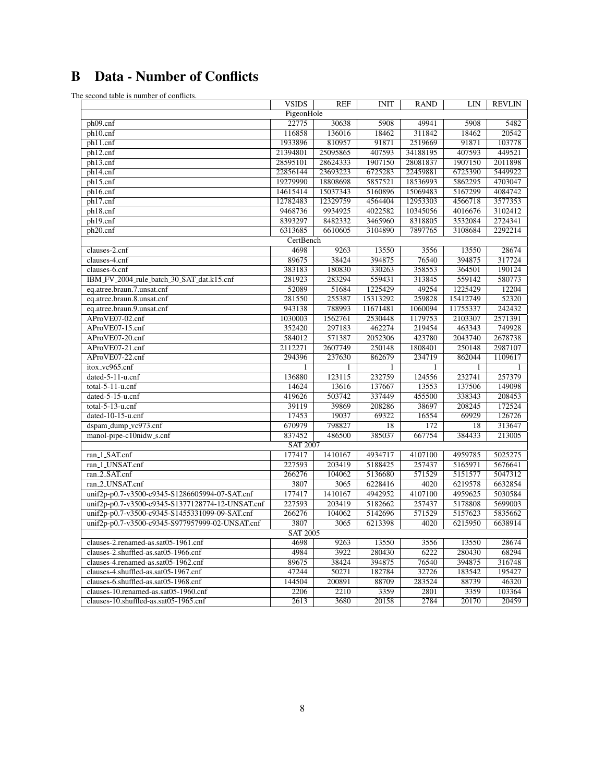## B Data - Number of Conflicts

The second table is number of conflicts.

|                                                  | <b>VSIDS</b>      | <b>REF</b>   | <b>INIT</b>  | <b>RAND</b>  | LIN      | <b>REVLIN</b> |
|--------------------------------------------------|-------------------|--------------|--------------|--------------|----------|---------------|
|                                                  | PigeonHole        |              |              |              |          |               |
| ph09.cnf                                         | 22775             | 30638        | 5908         | 49941        | 5908     | 5482          |
| ph10.cnf                                         | 116858            | 136016       | 18462        | 311842       | 18462    | 20542         |
| ph11.cnf                                         | 1933896           | 810957       | 91871        | 2519669      | 91871    | 103778        |
| ph12.cnf                                         | 21394801          | 25095865     | 407593       | 34188195     | 407593   | 449521        |
| ph13.cnf                                         | 28595101          | 28624333     | 1907150      | 28081837     | 1907150  | 2011898       |
| ph14.cnf                                         | 22856144          | 23693223     | 6725283      | 22459881     | 6725390  | 5449922       |
| ph15.cnf                                         | 19279990          | 18808698     | 5857521      | 18536993     | 5862295  | 4703047       |
| ph16.cnf                                         | 14615414          | 15037343     | 5160896      | 15069483     | 5167299  | 4084742       |
| ph17.cnf                                         | 12782483          | 12329759     | 4564404      | 12953303     | 4566718  | 3577353       |
| ph18.cnf                                         | 9468736           | 9934925      | 4022582      | 10345056     | 4016676  | 3102412       |
| ph19.cnf                                         | 8393297           | 8482332      | 3465960      | 8318805      | 3532084  | 2724341       |
| ph20.cnf                                         | 6313685           | 6610605      | 3104890      | 7897765      | 3108684  | 2292214       |
|                                                  | CertBench         |              |              |              |          |               |
| clauses-2.cnf                                    | 4698              | 9263         | 13550        | 3556         | 13550    | 28674         |
| clauses-4.cnf                                    | 89675             | 38424        | 394875       | 76540        | 394875   | 317724        |
| clauses-6.cnf                                    | 383183            | 180830       | 330263       | 358553       | 364501   | 190124        |
| IBM_FV_2004_rule_batch_30_SAT_dat.k15.cnf        | 281923            | 283294       | 559431       | 313845       | 559142   | 580773        |
| eq.atree.braun.7.unsat.cnf                       | 52089             | 51684        | 1225429      | 49254        | 1225429  | 12204         |
| eq.atree.braun.8.unsat.cnf                       | 281550            | 255387       | 15313292     | 259828       | 15412749 | 52320         |
| eq.atree.braun.9.unsat.cnf                       | 943138            | 788993       | 11671481     | 1060094      | 11755337 | 242432        |
| AProVE07-02.cnf                                  | 1030003           | 1562761      | 2530448      | 1179753      | 2103307  | 2571391       |
| AProVE07-15.cnf                                  | 352420            | 297183       | 462274       | 219454       | 463343   | 749928        |
| AProVE07-20.cnf                                  | 584012            | 571387       | 2052306      | 423780       | 2043740  | 2678738       |
| AProVE07-21.cnf                                  | 2112271           | 2607749      | 250148       | 1808401      | 250148   | 2987107       |
| AProVE07-22.cnf                                  | 294396            | 237630       | 862679       | 234719       | 862044   | 1109617       |
| itox_vc965.cnf                                   | $\mathbf{1}$      | $\mathbf{1}$ | $\mathbf{1}$ | $\mathbf{1}$ | 1        |               |
| dated-5-11-u.cnf                                 | 136880            | 123115       | 232759       | 124556       | 232741   | 257379        |
| $total-5-11-u.cnf$                               | 14624             | 13616        | 137667       | 13553        | 137506   | 149098        |
| dated-5-15-u.cnf                                 | 419626            | 503742       | 337449       | 455500       | 338343   | 208453        |
| $total-5-13-u.cnf$                               | 39119             | 39869        | 208286       | 38697        | 208245   | 172524        |
| dated- $10-15$ -u.cnf                            | 17453             | 19037        | 69322        | 16554        | 69929    | 126726        |
| dspam_dump_vc973.cnf                             | 670979            | 798827       | 18           | 172          | 18       | 313647        |
| manol-pipe-c10nidw_s.cnf                         | 837452            | 486500       | 385037       | 667754       | 384433   | 213005        |
|                                                  | <b>SAT 2007</b>   |              |              |              |          |               |
| ran_1_SAT.cnf                                    | 177417            | 1410167      | 4934717      | 4107100      | 4959785  | 5025275       |
| ran_1_UNSAT.cnf                                  | 227593            | 203419       | 5188425      | 257437       | 5165971  | 5676641       |
| ran_2_SAT.cnf                                    | 266276            | 104062       | 5136680      | 571529       | 5151577  | 5047312       |
| ran_2_UNSAT.cnf                                  | 3807              | 3065         | 6228416      | 4020         | 6219578  | 6632854       |
| unif2p-p0.7-v3500-c9345-S1286605994-07-SAT.cnf   | 177417            | 1410167      | 4942952      | 4107100      | 4959625  | 5030584       |
| unif2p-p0.7-v3500-c9345-S1377128774-12-UNSAT.cnf | 227593            | 203419       | 5182662      | 257437       | 5178808  | 5699003       |
| unif2p-p0.7-v3500-c9345-S1455331099-09-SAT.cnf   | 266276            | 104062       | 5142696      | 571529       | 5157623  | 5835662       |
| unif2p-p0.7-v3500-c9345-S977957999-02-UNSAT.cnf  | 3807              | 3065         | 6213398      | 4020         | 6215950  | 6638914       |
| <b>SAT 2005</b>                                  |                   |              |              |              |          |               |
| clauses-2.renamed-as.sat05-1961.cnf              | 4698              | 9263         | 13550        | 3556         | 13550    | 28674         |
| clauses-2.shuffled-as.sat05-1966.cnf             | 4984              | 3922         | 280430       | 6222         | 280430   | 68294         |
| clauses-4.renamed-as.sat05-1962.cnf              | 89675             | 38424        | 394875       | 76540        | 394875   | 316748        |
| clauses-4.shuffled-as.sat05-1967.cnf             | 47244             | 50271        | 182784       | 32726        | 183542   | 195427        |
| clauses-6.shuffled-as.sat05-1968.cnf             | 144504            | 200891       | 88709        | 283524       | 88739    | 46320         |
| clauses-10.renamed-as.sat05-1960.cnf             | 2206              | 2210         | 3359         | 2801         | 3359     | 103364        |
| clauses-10.shuffled-as.sat05-1965.cnf            | $\overline{2613}$ | 3680         | 20158        | 2784         | 20170    | 20459         |